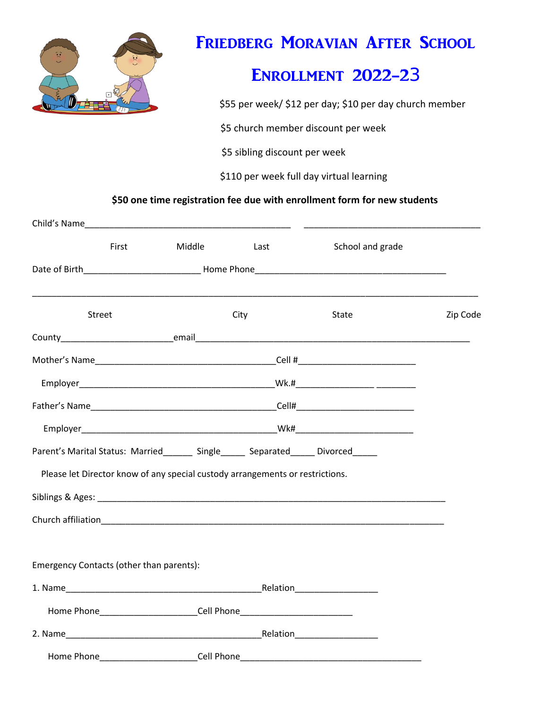

## FRIEDBERG MORAVIAN AFTER SCHOOL

## Enrollment 2022-23

\$55 per week/ \$12 per day; \$10 per day church member

\$5 church member discount per week

\$5 sibling discount per week

\$110 per week full day virtual learning

 **\$50 one time registration fee due with enrollment form for new students**

|                                                                               | First | Middle                                                    | Last | School and grade                                                                                                                                                                                                               |          |
|-------------------------------------------------------------------------------|-------|-----------------------------------------------------------|------|--------------------------------------------------------------------------------------------------------------------------------------------------------------------------------------------------------------------------------|----------|
|                                                                               |       |                                                           |      |                                                                                                                                                                                                                                |          |
| <b>Street</b>                                                                 |       |                                                           | City | State                                                                                                                                                                                                                          | Zip Code |
|                                                                               |       |                                                           |      |                                                                                                                                                                                                                                |          |
|                                                                               |       |                                                           |      |                                                                                                                                                                                                                                |          |
|                                                                               |       |                                                           |      |                                                                                                                                                                                                                                |          |
|                                                                               |       |                                                           |      |                                                                                                                                                                                                                                |          |
|                                                                               |       |                                                           |      |                                                                                                                                                                                                                                |          |
|                                                                               |       |                                                           |      | Parent's Marital Status: Married _______ Single ______ Separated _____ Divorced                                                                                                                                                |          |
| Please let Director know of any special custody arrangements or restrictions. |       |                                                           |      |                                                                                                                                                                                                                                |          |
|                                                                               |       |                                                           |      |                                                                                                                                                                                                                                |          |
|                                                                               |       |                                                           |      |                                                                                                                                                                                                                                |          |
|                                                                               |       |                                                           |      |                                                                                                                                                                                                                                |          |
| Emergency Contacts (other than parents):                                      |       |                                                           |      |                                                                                                                                                                                                                                |          |
|                                                                               |       |                                                           |      |                                                                                                                                                                                                                                |          |
|                                                                               |       | Home Phone <b>Manual Cell Phone Cell Phone Cell Phone</b> |      |                                                                                                                                                                                                                                |          |
|                                                                               |       |                                                           |      | 2. Name Relation Relation Relation Relation Relation Relation Relation Relation Relation Relation Relation Relation Relation Relation Relation Relation Relation Relation Relation Relation Relation Relation Relation Relatio |          |
| Home Phone                                                                    |       | ___________________________Cell Phone <sub>.</sub>        |      |                                                                                                                                                                                                                                |          |